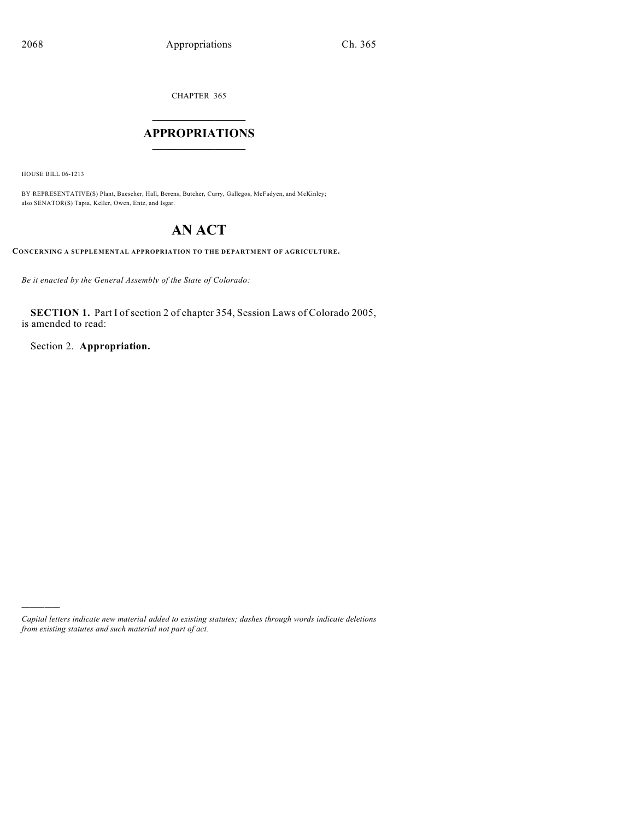CHAPTER 365

# $\overline{\phantom{a}}$  . The set of the set of the set of the set of the set of the set of the set of the set of the set of the set of the set of the set of the set of the set of the set of the set of the set of the set of the set o **APPROPRIATIONS**  $\_$   $\_$   $\_$   $\_$   $\_$   $\_$   $\_$   $\_$

HOUSE BILL 06-1213

)))))

BY REPRESENTATIVE(S) Plant, Buescher, Hall, Berens, Butcher, Curry, Gallegos, McFadyen, and McKinley; also SENATOR(S) Tapia, Keller, Owen, Entz, and Isgar.

# **AN ACT**

**CONCERNING A SUPPLEMENTAL APPROPRIATION TO THE DEPARTMENT OF AGRICULTURE.**

*Be it enacted by the General Assembly of the State of Colorado:*

**SECTION 1.** Part I of section 2 of chapter 354, Session Laws of Colorado 2005, is amended to read:

Section 2. **Appropriation.**

*Capital letters indicate new material added to existing statutes; dashes through words indicate deletions from existing statutes and such material not part of act.*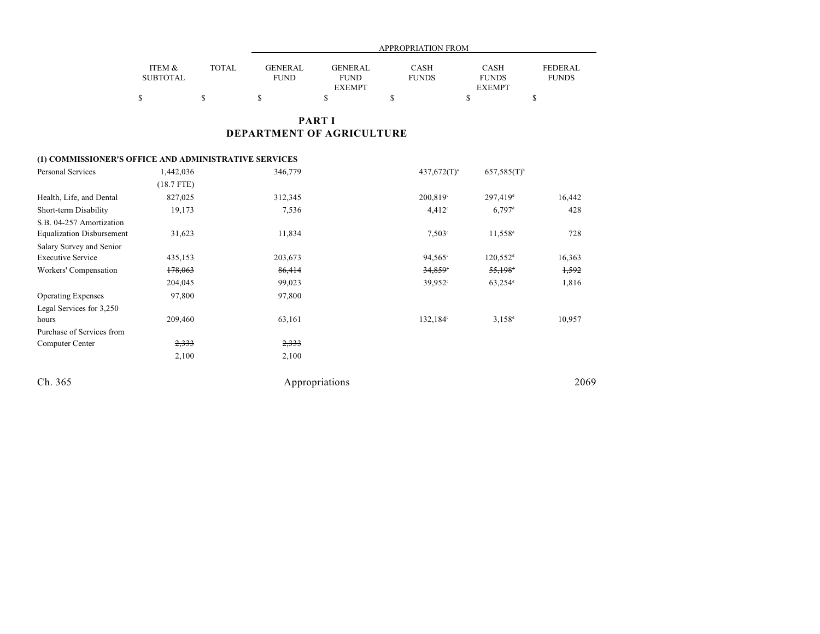|                 |              | <b>APPROPRIATION FROM</b> |                |              |               |                |  |
|-----------------|--------------|---------------------------|----------------|--------------|---------------|----------------|--|
| ITEM &          | <b>TOTAL</b> | <b>GENERAL</b>            | <b>GENERAL</b> | <b>CASH</b>  | CASH          | <b>FEDERAL</b> |  |
| <b>SUBTOTAL</b> |              | <b>FUND</b>               | <b>FUND</b>    | <b>FUNDS</b> | <b>FUNDS</b>  | <b>FUNDS</b>   |  |
|                 |              |                           | <b>EXEMPT</b>  |              | <b>EXEMPT</b> |                |  |
|                 |              |                           |                |              |               |                |  |

## **PART I DEPARTMENT OF AGRICULTURE**

### **(1) COMMISSIONER'S OFFICE AND ADMINISTRATIVE SERVICES**

| Personal Services                | 1,442,036    | 346,779        | $437,672(T)^{a}$      | $657,585(T)^{b}$       |        |
|----------------------------------|--------------|----------------|-----------------------|------------------------|--------|
|                                  | $(18.7$ FTE) |                |                       |                        |        |
| Health, Life, and Dental         | 827,025      | 312,345        | 200,819°              | $297,419$ <sup>d</sup> | 16,442 |
| Short-term Disability            | 19,173       | 7,536          | $4,412^{\circ}$       | $6,797$ <sup>d</sup>   | 428    |
| S.B. 04-257 Amortization         |              |                |                       |                        |        |
| <b>Equalization Disbursement</b> | 31,623       | 11,834         | $7,503^{\circ}$       | $11,558$ <sup>d</sup>  | 728    |
| Salary Survey and Senior         |              |                |                       |                        |        |
| <b>Executive Service</b>         | 435,153      | 203,673        | $94,565^{\circ}$      | $120,552$ <sup>d</sup> | 16,363 |
| Workers' Compensation            | 178,063      | 86,414         | $34,859$ <sup>*</sup> | $55,198$ <sup>d</sup>  | 1,592  |
|                                  | 204,045      | 99,023         | $39,952$ °            | $63,254$ <sup>d</sup>  | 1,816  |
| <b>Operating Expenses</b>        | 97,800       | 97,800         |                       |                        |        |
| Legal Services for 3,250         |              |                |                       |                        |        |
| hours                            | 209,460      | 63,161         | $132,184^{\circ}$     | $3.158^{d}$            | 10,957 |
| Purchase of Services from        |              |                |                       |                        |        |
| Computer Center                  | 2,333        | 2,333          |                       |                        |        |
|                                  | 2,100        | 2,100          |                       |                        |        |
| Ch. 365                          |              | Appropriations |                       |                        | 2069   |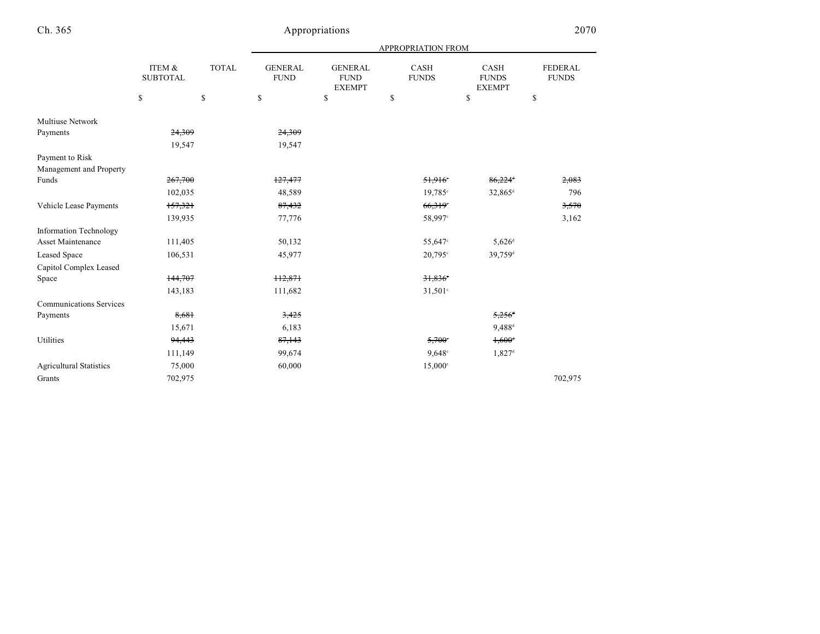| 2070 | ) |
|------|---|
|      |   |

|                                |                           |    | APPROPRIATION FROM |                               |                                                |                             |                                       |                                |  |
|--------------------------------|---------------------------|----|--------------------|-------------------------------|------------------------------------------------|-----------------------------|---------------------------------------|--------------------------------|--|
|                                | ITEM &<br><b>SUBTOTAL</b> |    | <b>TOTAL</b>       | <b>GENERAL</b><br><b>FUND</b> | <b>GENERAL</b><br><b>FUND</b><br><b>EXEMPT</b> | <b>CASH</b><br><b>FUNDS</b> | CASH<br><b>FUNDS</b><br><b>EXEMPT</b> | <b>FEDERAL</b><br><b>FUNDS</b> |  |
|                                | \$                        | \$ | \$                 | \$                            | \$                                             | \$                          | \$                                    |                                |  |
| Multiuse Network               |                           |    |                    |                               |                                                |                             |                                       |                                |  |
| Payments                       | 24,309                    |    | 24,309             |                               |                                                |                             |                                       |                                |  |
|                                | 19,547                    |    | 19,547             |                               |                                                |                             |                                       |                                |  |
| Payment to Risk                |                           |    |                    |                               |                                                |                             |                                       |                                |  |
| Management and Property        |                           |    |                    |                               |                                                |                             |                                       |                                |  |
| Funds                          | 267,700                   |    | 127,477            |                               | 51,916                                         | 86,224                      | 2,083                                 |                                |  |
|                                | 102,035                   |    | 48,589             |                               | $19,785^{\circ}$                               | 32,865 <sup>d</sup>         | 796                                   |                                |  |
| Vehicle Lease Payments         | 157,321                   |    | 87,432             |                               | 66,319                                         |                             | 3,570                                 |                                |  |
|                                | 139,935                   |    | 77,776             |                               | 58,997°                                        |                             | 3,162                                 |                                |  |
| <b>Information Technology</b>  |                           |    |                    |                               |                                                |                             |                                       |                                |  |
| <b>Asset Maintenance</b>       | 111,405                   |    | 50,132             |                               | 55,647°                                        | $5,626^{\rm d}$             |                                       |                                |  |
| <b>Leased Space</b>            | 106,531                   |    | 45,977             |                               | 20,795°                                        | 39,759 <sup>d</sup>         |                                       |                                |  |
| Capitol Complex Leased         |                           |    |                    |                               |                                                |                             |                                       |                                |  |
| Space                          | 144,707                   |    | 112,871            |                               | 31,836                                         |                             |                                       |                                |  |
|                                | 143,183                   |    | 111,682            |                               | $31,501$ °                                     |                             |                                       |                                |  |
| <b>Communications Services</b> |                           |    |                    |                               |                                                |                             |                                       |                                |  |
| Payments                       | 8,681                     |    | 3,425              |                               |                                                | $5,256$ <sup>d</sup>        |                                       |                                |  |
|                                | 15,671                    |    | 6,183              |                               |                                                | $9,488^{\rm d}$             |                                       |                                |  |
| Utilities                      | 94,443                    |    | 87,143             |                               | $5,700^{\circ}$                                | $1,600^{\circ}$             |                                       |                                |  |
|                                | 111,149                   |    | 99,674             |                               | $9,648^{\circ}$                                | $1,827$ <sup>d</sup>        |                                       |                                |  |
| <b>Agricultural Statistics</b> | 75,000                    |    | 60,000             |                               | $15,000^{\circ}$                               |                             |                                       |                                |  |
| Grants                         | 702,975                   |    |                    |                               |                                                |                             | 702,975                               |                                |  |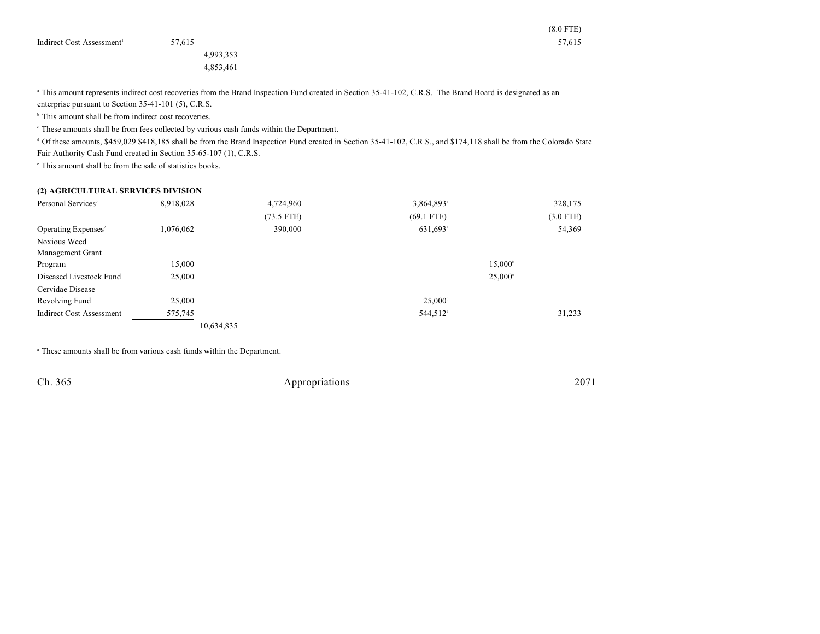| Indirect Cost Assessment <sup>1</sup> | 7.615 | - - -<br>$- -$<br>7.615 |
|---------------------------------------|-------|-------------------------|
|                                       |       |                         |

4,993,353

4,853,461

<sup>a</sup> This amount represents indirect cost recoveries from the Brand Inspection Fund created in Section 35-41-102, C.R.S. The Brand Board is designated as an enterprise pursuant to Section 35-41-101 (5), C.R.S.

 $<sup>b</sup>$  This amount shall be from indirect cost recoveries.</sup>

These amounts shall be from fees collected by various cash funds within the Department. <sup>c</sup>

<sup>d</sup> Of these amounts, \$459,029 \$418,185 shall be from the Brand Inspection Fund created in Section 35-41-102, C.R.S., and \$174,118 shall be from the Colorado State Fair Authority Cash Fund created in Section 35-65-107 (1), C.R.S.

 $\cdot$  This amount shall be from the sale of statistics books.

#### **(2) AGRICULTURAL SERVICES DIVISION**

| Personal Services <sup>2</sup>  | 8,918,028  | 4,724,960    | 3,864,893 <sup>a</sup> | 328,175          |
|---------------------------------|------------|--------------|------------------------|------------------|
|                                 |            | $(73.5$ FTE) | $(69.1$ FTE)           | $(3.0$ FTE)      |
| Operating Expenses <sup>2</sup> | 1,076,062  | 390,000      | $631,693$ <sup>a</sup> | 54,369           |
| Noxious Weed                    |            |              |                        |                  |
| Management Grant                |            |              |                        |                  |
| Program                         | 15,000     |              |                        | $15,000^{\circ}$ |
| Diseased Livestock Fund         | 25,000     |              |                        | $25,000^{\circ}$ |
| Cervidae Disease                |            |              |                        |                  |
| Revolving Fund                  | 25,000     |              | $25,000^{\rm d}$       |                  |
| Indirect Cost Assessment        | 575,745    |              | 544,512 <sup>a</sup>   | 31,233           |
|                                 | 10,634,835 |              |                        |                  |

<sup>a</sup> These amounts shall be from various cash funds within the Department.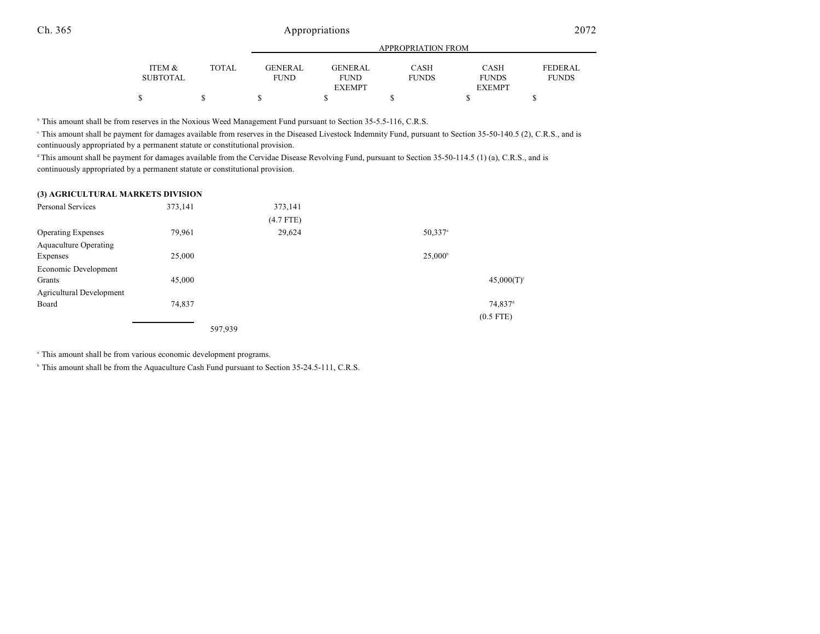## Ch. 365 Appropriations 2072

|          |       |                | APPROPRIATION FROM |              |               |                |  |
|----------|-------|----------------|--------------------|--------------|---------------|----------------|--|
| ITEM &   | TOTAL | <b>GENERAL</b> | GENERAL            | <b>CASH</b>  | <b>CASH</b>   | <b>FEDERAL</b> |  |
| SUBTOTAL |       | <b>FUND</b>    | <b>FUND</b>        | <b>FUNDS</b> | <b>FUNDS</b>  | <b>FUNDS</b>   |  |
|          |       |                | <b>EXEMPT</b>      |              | <b>EXEMPT</b> |                |  |
| \$       | S     |                |                    |              |               |                |  |

<sup>b</sup> This amount shall be from reserves in the Noxious Weed Management Fund pursuant to Section 35-5.5-116, C.R.S.

This amount shall be payment for damages available from reserves in the Diseased Livestock Indemnity Fund, pursuant to Section 35-50-140.5 (2), C.R.S., and is continuously appropriated by a permanent statute or constitutional provision.

This amount shall be payment for damages available from the Cervidae Disease Revolving Fund, pursuant to Section  $35-50-114.5$  (1) (a), C.R.S., and is continuously appropriated by a permanent statute or constitutional provision.

#### **(3) AGRICULTURAL MARKETS DIVISION**

| Personal Services            | 373,141 | 373,141     |                       |
|------------------------------|---------|-------------|-----------------------|
|                              |         | $(4.7$ FTE) |                       |
| <b>Operating Expenses</b>    | 79,961  | 29,624      | $50,337$ <sup>a</sup> |
| <b>Aquaculture Operating</b> |         |             |                       |
| Expenses                     | 25,000  |             | $25,000^{\circ}$      |
| Economic Development         |         |             |                       |
| Grants                       | 45,000  |             | 45,000(T)             |
| Agricultural Development     |         |             |                       |
| Board                        | 74,837  |             | 74,837 <sup>d</sup>   |
|                              |         |             | $(0.5$ FTE)           |
|                              |         | 597,939     |                       |

This amount shall be from various economic development programs. <sup>a</sup>

<sup>b</sup> This amount shall be from the Aquaculture Cash Fund pursuant to Section 35-24.5-111, C.R.S.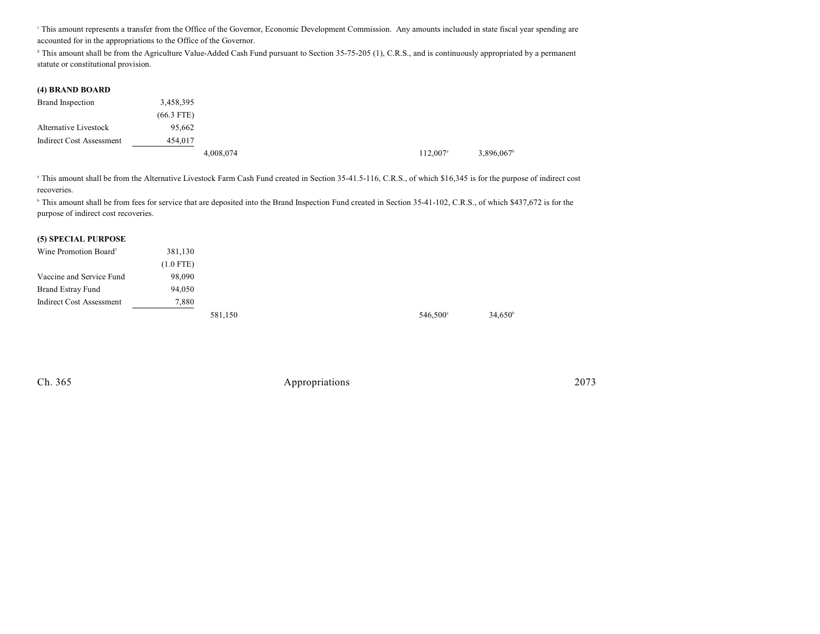<sup>e</sup> This amount represents a transfer from the Office of the Governor, Economic Development Commission. Any amounts included in state fiscal year spending are accounted for in the appropriations to the Office of the Governor.

<sup>d</sup> This amount shall be from the Agriculture Value-Added Cash Fund pursuant to Section 35-75-205 (1), C.R.S., and is continuously appropriated by a permanent statute or constitutional provision.

#### **(4) BRAND BOARD**

| Brand Inspection                | 3,458,395    |           |  |                        |           |
|---------------------------------|--------------|-----------|--|------------------------|-----------|
|                                 | $(66.3$ FTE) |           |  |                        |           |
| Alternative Livestock           | 95.662       |           |  |                        |           |
| <b>Indirect Cost Assessment</b> | 454,017      |           |  |                        |           |
|                                 |              | 4,008,074 |  | $112,007$ <sup>a</sup> | 3,896,067 |

<sup>a</sup> This amount shall be from the Alternative Livestock Farm Cash Fund created in Section 35-41.5-116, C.R.S., of which \$16,345 is for the purpose of indirect cost recoveries.

<sup>h</sup> This amount shall be from fees for service that are deposited into the Brand Inspection Fund created in Section 35-41-102, C.R.S., of which \$437,672 is for the purpose of indirect cost recoveries.

#### **(5) SPECIAL PURPOSE**

| Wine Promotion Board <sup>3</sup> | 381,130     |         |  |                      |                  |
|-----------------------------------|-------------|---------|--|----------------------|------------------|
|                                   | $(1.0$ FTE) |         |  |                      |                  |
| Vaccine and Service Fund          | 98,090      |         |  |                      |                  |
| <b>Brand Estray Fund</b>          | 94,050      |         |  |                      |                  |
| Indirect Cost Assessment          | 7,880       |         |  |                      |                  |
|                                   |             | 581,150 |  | 546,500 <sup>a</sup> | $34,650^{\circ}$ |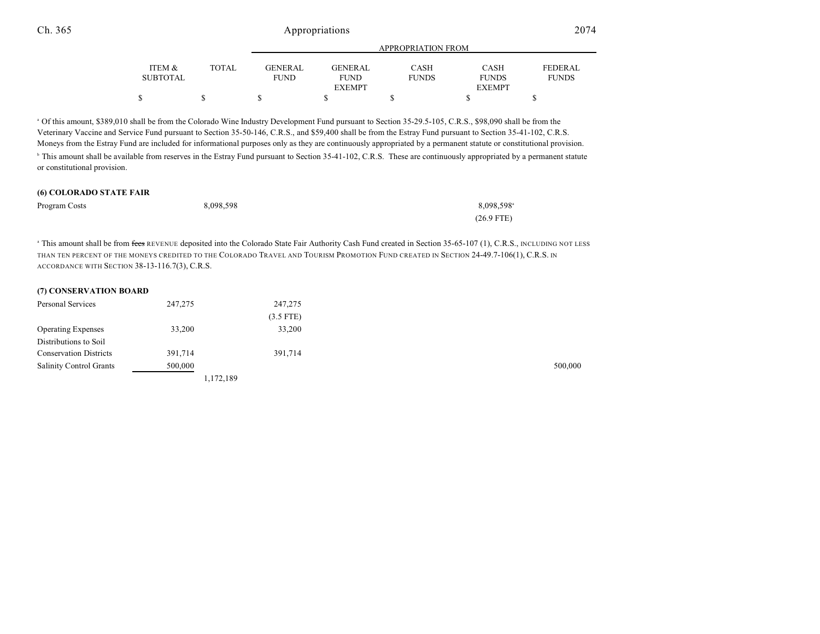### Ch. 365 Appropriations 2074

|          |              |                | APPROPRIATION FROM |              |               |                |  |
|----------|--------------|----------------|--------------------|--------------|---------------|----------------|--|
| ITEM &   | <b>TOTAL</b> | <b>GENERAL</b> | <b>GENERAL</b>     | CASH         | <b>CASH</b>   | <b>FEDERAL</b> |  |
| SUBTOTAL |              | <b>FUND</b>    | <b>FUND</b>        | <b>FUNDS</b> | <b>FUNDS</b>  | <b>FUNDS</b>   |  |
|          |              |                | <b>EXEMPT</b>      |              | <b>EXEMPT</b> |                |  |
|          |              |                |                    |              |               |                |  |

<sup>a</sup> Of this amount, \$389,010 shall be from the Colorado Wine Industry Development Fund pursuant to Section 35-29.5-105, C.R.S., \$98,090 shall be from the Veterinary Vaccine and Service Fund pursuant to Section 35-50-146, C.R.S., and \$59,400 shall be from the Estray Fund pursuant to Section 35-41-102, C.R.S. Moneys from the Estray Fund are included for informational purposes only as they are continuously appropriated by a permanent statute or constitutional provision. <sup>h</sup> This amount shall be available from reserves in the Estray Fund pursuant to Section 35-41-102, C.R.S. These are continuously appropriated by a permanent statute or constitutional provision.

#### **(6) COLORADO STATE FAIR**

| Program Costs | 8,098,598 | $8,098,598^{\circ}$ |
|---------------|-----------|---------------------|
|               |           | $(26.9$ FTE)        |

<sup>a</sup> This amount shall be from fees REVENUE deposited into the Colorado State Fair Authority Cash Fund created in Section 35-65-107 (1), C.R.S., INCLUDING NOT LESS THAN TEN PERCENT OF THE MONEYS CREDITED TO THE COLORADO TRAVEL AND TOURISM PROMOTION FUND CREATED IN SECTION 24-49.7-106(1), C.R.S. IN ACCORDANCE WITH SECTION 38-13-116.7(3), C.R.S.

| (7) CONSERVATION BOARD         |           |             |
|--------------------------------|-----------|-------------|
| Personal Services              | 247,275   | 247,275     |
|                                |           | $(3.5$ FTE) |
| <b>Operating Expenses</b>      | 33,200    | 33,200      |
| Distributions to Soil          |           |             |
| <b>Conservation Districts</b>  | 391,714   | 391,714     |
| <b>Salinity Control Grants</b> | 500,000   |             |
|                                | 1,172,189 |             |